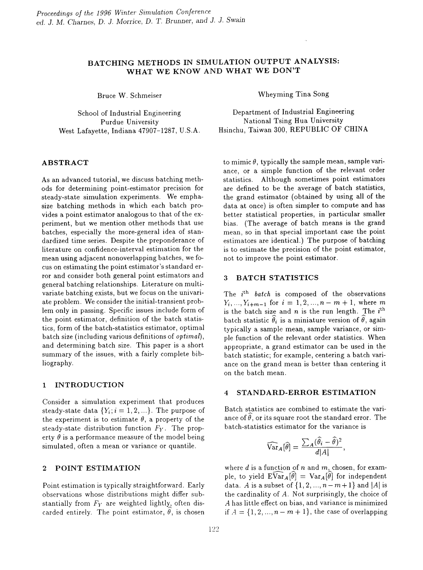# BATCHING METHODS IN SIMULATION OUTPUT ANALYSIS: WHAT WE KNOW AND WHAT WE DON'T

Bruce W. Schmeiser

School of Industrial Engineering Purdue University West Lafayette, Indiana 47907-1287, U.S.A.

## ABSTRACT

As an advanced tutorial, we discuss batching methods for determining point-estimator precision for steady-state simulation experiments. We emphasize hatching methods in which each batch provides a point estimator analogous to that of the experiment, hut we mention other methods that use batches, especially the more-general idea of standardized time series. Despite the preponderance of literature on confidence-interval estimation for the mean using adjacent nonoverlapping batches, we focus on estimating the point estimator's standard error and consider both general point estimators and general batching relationships. Literature on multivariate batching exists, but we focus on the univariate problem. We consider the initial-transient problem only in passing. Specific issues include form of the point estimator, definition of the batch statistics, form of the batch-statistics estimator, optimal batch size (including various definitions of *optiman,* and determining batch size. This paper is a short summary of the issues, with a fairly complete bibliography.

#### 1 INTRODUCTION

Consider a simulation experiment that produces steady-state data  ${Y_i; i = 1, 2, ...}$ . The purpose of the experiment is to estimate  $\theta$ , a property of the steady-state distribution function *Fy.* The property  $\theta$  is a performance measure of the model being simulated, often a mean or variance or quantile.

## 2 POINT ESTIMATION

Point estimation is typically straightforward. Early observations whose distributions might differ substantially from  $F_Y$  are weighted lightly, often discarded entirely. The point estimator,  $\theta$ , is chosen Wheyming Tina Song

Department of Industrial Engineering National Tsing Hua University Hsinchu, Taiwan 300, REPUBLIC OF CHINA

to mimic  $\theta$ , typically the sample mean, sample variance, or a simple function of the relevant order statistics. Although sometimes point estimators are defined to be the average of batch statistics, the grand estimator (obtained by using all of the data at once) is often simpler to compute and has better statistical properties, in particular smaller bias. (The average of batch means is the grand mean, so in that special important case the point estimators are identical.) The purpose of batching is to estimate the precision of the point estimator, not to improve the point estimator.

#### 3 BATCH STATISTICS

The  $i<sup>th</sup>$  *batch* is composed of the observations  $Y_i, ..., Y_{i+m-1}$  for  $i = 1, 2, ..., n-m+1$ , where m is the batch size and  $n$  is the run length. The  $i^{\text{th}}$ batch statistic  $\hat{\theta}_i$  is a miniature version of  $\hat{\theta}$ , again typically a sample mean, sample variance, or simple function of the relevant order statistics. When appropriate, a grand estimator can be used in the batch statistic; for example, centering a batch variance on the grand mean is better than centering it on the batch mean.

### 4 STANDARD-ERROR ESTIMATION

Batch statistics are combined to estimate the variance of  $\hat{\theta}$ , or its square root the standard error. The batch-statistics estimator for the variance is

$$
\widehat{\text{Var}}_A[\widehat{\theta}] = \frac{\sum_A (\widehat{\theta}_i - \widehat{\theta})^2}{d|A|},
$$

where  $d$  is a function of  $n$  and  $m$ , chosen, for example, to yield  $E\widehat{Var}_A[\widehat{\theta}] = Var_A[\widehat{\theta}]$  for independent data. A is a subset of  $\{1, 2, ..., n-m+1\}$  and  $|A|$  is the cardinality of *A.* Not surprisingly, the choice of A has little effect on bias, and variance is minimized if  $A = \{1, 2, ..., n - m + 1\}$ , the case of overlapping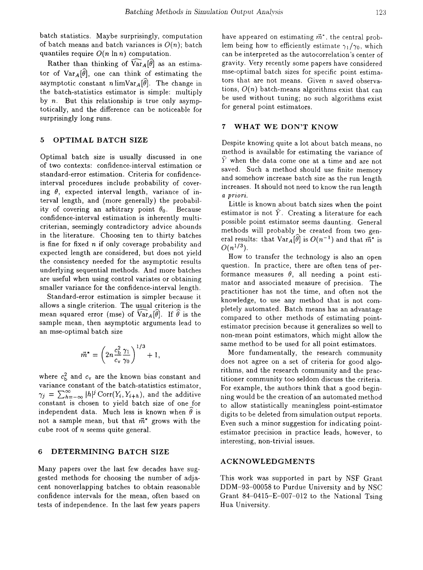batch statistics. Maybe surprisingly, computation of batch means and batch variances is  $O(n)$ ; batch quantiles require O(*n* In *n)* computation.

Rather than thinking of  $\widehat{\text{Var}}_A[\widehat{\theta}]$  as an estimator of  $Var_A[\widehat{\theta}]$ , one can think of estimating the asymptotic constant nlimVar<sub>A</sub>[ $\hat{\theta}$ ]. The change in the batch-statistics estimator is simple: multiply by *n.* But this relationship is true only asymptotically, and the difference can be noticeable for surprisingly long runs.

#### 5 OPTIMAL BATCH SIZE

Optimal batch size is usually discussed in one of two contexts: confidence-interval estimation or standard-error estimation. Criteria for confidenceinterval procedures include probability of covering  $\theta$ , expected interval length, variance of interval length, and (more generally) the probability of covering an arbitrary point  $\theta_0$ . Because confidence-interval estimation is inherently multicriterian, seemingly contradictory advice abounds in the literature. Choosing ten to thirty batches is fine for fixed *n* if only coverage probability and expected length are considered, but does not yield the consistency needed for the asymptotic results underlying sequential methods. And more batches are useful when using control variates or obtaining smaller variance for the confidence-interval length.

Standard-error estimation is simpler because it allows a single criterion. The usual criterion is the mean squared error (mse) of  $Var_A[\hat{\theta}]$ . If  $\hat{\theta}$  is the sample mean, then asymptotic arguments lead to an mse-optimal batch size

$$
\vec{m}^* = \left(2n \frac{c_{\rm b}^2}{c_{\rm v}} \frac{\gamma_1}{\gamma_0}\right)^{1/3} + 1,
$$

where  $c_b^2$  and  $c_v$  are the known bias constant and variance constant of the batch-statistics estimator,  $\gamma_j = \sum_{h=-\infty}^{\infty} |h|^j \text{Corr}(Y_i, Y_{i+h}),$  and the additive constant is chosen to yield batch size of one Jor independent data. Much less is known when  $\theta$  is not a sample mean, but that  $\vec{m}^*$  grows with the cube root of *n* seems quite general.

## 6 DETERMINING BATCH SIZE

Many papers over the last few decades have suggested methods for choosing the number of adjacent nonoverlapping batches to obtain reasonable confidence intervals for the mean, often based on tests of independence. In the last few years papers have appeared on estimating  $\vec{m}^*$ , the central problem being how to efficiently estimate  $\gamma_1/\gamma_0$ , which can be interpreted as the autocorrelation's center of gravity. Very recently some papers have considered mse-optimal batch sizes for specific point estimators that are not means. Given *n* saved observations,  $O(n)$  batch-means algorithms exist that can be used without tuning; no such algorithms exist for general point estimators.

# 7 WHAT WE DON'T KNOW

Despite knowing quite a lot about batch means, no method is available for estimating the variance of  $\overline{Y}$  when the data come one at a time and are not saved. Such a method should use finite memory and somehow increase batch size as the run length increases. It should not need to know the run length *a przorz.*

Little is known about batch sizes when the point estimator is not  $\overline{Y}$ . Creating a literature for each possible point estimator seems daunting. General methods will probably be created from two general results: that  $\text{Var}_{\mathbf{A}}[\widehat{\theta}]$  is  $O(n^{-1})$  and that  $\vec{m}^*$  is  $O(n^{1/3})$ .

How to transfer the technology is also an open question. In practice, there are often tens of performance measures  $\theta$ , all needing a point estimator and associated measure of precision. The practitioner has not the time, and often not the knowledge, to use any method that is not completely automated. Batch means has an advantage compared to other methods of estimating pointestimator precision because it generalizes so well to non-mean point estimators, which might allow the same method to be used for all point estimators.

More fundamentally, the research community does not agree on a set of criteria for good algorithms, and the research community and the practitioner community too seldom discuss the criteria. For example, the authors think that a good beginning would be the creation of an automated method to allow statistically meaningless point-estimator digits to be deleted from simulation output reports. Even such a minor suggestion for indicating pointestimator precision in practice leads, however, to interesting, non-trivial issues.

#### ACKNOWLEDGMENTS

This work was supported in part by NSF Grant DDM-93-00058 to Purdue University and by NSC Grant 84-0415-E-007-012 to the National Tsing Hua University.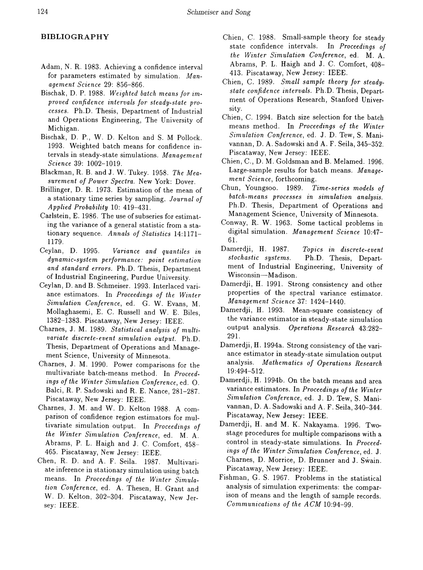# **BIBLIOGRAPHY**

- Adam, N. R. 1983. Achieving a confidence interval for parameters estimated by simulation. *Management Science* 29: 856-866.
- Bischak, D. P. 1988. *Weighted batch means for improved confidence intervals for steady-state processes.* Ph.D. Thesis, Department of Industrial and Operations Engineering, The University of Michigan.
- Bischak, D. P., W. D. Kelton and S. M Pollock. 1993. Weighted batch means for confidence intervals in steady-state simulations. *Management Science* 39: 1002-1019.
- Blackman, R. B. and J. W. Tukey. 1958. The Mea*surement of Power Spectra.* New York: Dover.
- Brillinger, D. R. 1973. Estimation of the mean of a stationary time series by sampling. *Journal of Applied Probability* 10: 419-431.
- Carlstein, E. 1986. The use of subseries for estimating the variance of a general statistic from a stationary sequence. *Annals of Statistics 14:1171-* 1179.<br>Ceylan, D. 1995.
- $Variance$  *and quantiles in*  $dynamic-system$   $performance:$   $portionance:$   $point$   $estimation$ *and standard errors.* Ph.D. Thesis, Department of Industrial Engineering, Purdue University.
- Ceylan, D. and B. Schmeiser. 1993. Interlaced variance estimators. In *Proceedings of the Winter Simulation Conference,* ed. G. W. Evans, M. Mollaghasemi, E. C. Russell and W. E. Biles, 1382-1383. Piscataway, New Jersey: IEEE.
- Charnes, J. M. 1989. *Statistical analysis of multiva* ri*ate dis* c*rete*-*event si*m*uIation* <sup>0</sup> *utput.* Ph.D . Thesis, Department of Operations and Management Science, University of Minnesota.
- Charnes, J. M. 1990. Power comparisons for the multivariate batch-means method. In *Proceedings of the Winter Simulation Conference,* ed. O. Balci, R. P. Sadowski and R. E. Nance, 281-287. Piscataway, New Jersey: IEEE.
- Charnes, J. M. and W. D. Kelton 1988. A comparison of confidence region estimators for multivariate simulation output. In *Proceedings of the Winter Simulation Conference,* ed. M. A. Abrams, P. L. Haigh and J. C. Comfort, 458- 465. Piscataway, New Jersey: IEEE.
- Chen, R. D. and A. F. Seila. 1987. Multivariate inference in stationary simulation using batch means. In *Proceedings of the Winter Simulation Conference,* ed. A. Thesen, H. Grant and W. D. Kelton, 302-304. Piscataway, New Jersey: IEEE.
- Chien, C. 1988. Small-sample theory for steady state confidence intervals. In *Proceedings of the Winter Simulation Conference,* ed. M. A. Abrams, P. L. Haigh and J. C. Comfort, 408- 413. Piscataway, New Jersey: IEEE.
- Chien, C. 1989. *Small sample theory for steadystate confidence intervals.* Ph.D. Thesis, Department of Operations Research, Stanford University.
- Chien, C. 1994. Batch size selection for the batch means method. In *Proceedings of the Winter Simulation Conference,* ed. J. D. Tew, S. Manivannan, D. A. Sadowski and A. F. Seila, 345-352. Piscataway, New Jersey: IEEE.
- Chien, C., D. M. Goldsman and B. Melamed. 1996. Large-sample results for batch means. *Management Science,* forthcoming.
- Chun, Youngsoo. 1989. *Time-series models of batch-means processes in simulation analysis.* Ph.D. Thesis, Department of Operations and Management Science, University of Minnesota.
- Conway, R. W. 1963. Some tactical problems in digital simulation. *Management Science 10:47-* 61.
- Damerdji, H. 1987. *Topics in discrete-event stochastic systems.* Ph.D. Thesis, Department of Industrial Engineering, University of Wisconsin-Madison.
- Damerdji, H. 1991. Strong consistency and other properties of the spectral variance estimator. *Management Science* 37: 1424-1440.
- Damerdji, H. 1993. Mean-square consistency of the variance estimator in steady-state simulation output analysis. *Operations Research 43:282-* 291.
- Damerdji, H. 1994a. Strong consistency of the variance estimator in steady-state simulation output analysis. *Mathematics of Operations Research* 19:494-512.
- Damerdji, H. 1994b. On the batch means and area variance estimators. In *Proceedings ofthe Winter Simulation Conference,* ed. J. D. Tew, S. Manivannan, D. A. Sadowski and A. F. Seila, 340-344. Piscataway, New Jersey: IEEE.
- Damerdji, H. and M. K. Nakayama. 1996. Twostage procedures for multiple comparisons with a control in steady-state simulations. In *Proceedings of the Winter Simulation Conference,* ed. J. Charnes, D. Morrice, D. Brunner and J. Swain. Piscataway, New Jersey: IEEE.
- Fishman, G. S. 1967. Problems in the statistical analysis of simulation experiments: the comparison of means and the length of sample records. *Communications of the ACM 10:94-99.*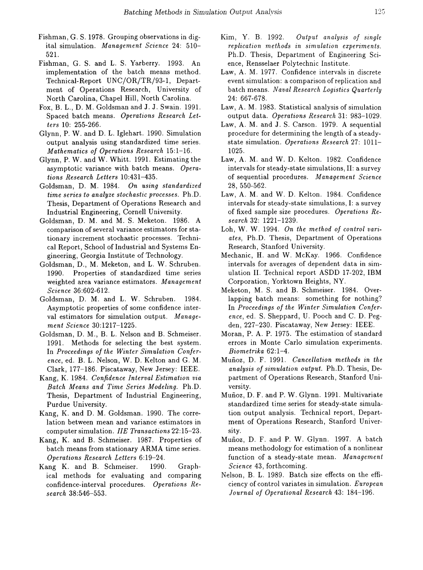- Fishman, G. S. 1978. Grouping observations in digital simulation. *Management Science* 24: 510- 521.
- Fishman, G. S. and L. S. Yarberry. 1993. An implementation of the batch means method. Technical-Report UNC/OR/TR/93-1, Department of Operations Research, University of North Carolina, Chapel Hill, North Carolina.
- Fox, B. L., D. M. Goldsman and J. J. Swain. 1991. Spaced batch means. *Operations Research Letters* 10: 255-266.
- Glynn, P. W. and D. L. Iglehart. 1990. Simulation output analysis using standardized time series. *Mathematics of Operations Research 15:1-16.*
- Glynn, P. W. and W. Whitt. 1991. Estimating the asymptotic variance with batch means. *Operations Research Letters 10:431-435.*
- Goldsman, D. M. 1984. *On using standardized time series to analyze stochastic processes.* Ph.D. Thesis, Department of Operations Research and Industrial Engineering, Cornell University.
- Goldsman, D. M. and M. S. Meketon. 1986. A comparison of several variance estimators for stationary increment stochastic processes. Technical Report, School of Industrial and Systems Engineering, Georgia Institute of Technology.
- Goldsman, D., M. Meketon, and L. W. Schruben. 1990. Properties of standardized time series weighted area variance estimators. *Management Science 36:602-612.*
- Goldsman, D. M. and L. W. Schruben. 1984. Asymptotic properties of some confidence interval estimators for simulation output. *Management Science 30:1217-1225.*
- Goldsman, D. M., B. L. Nelson and B. Schmeiser. 1991. Methods for selecting the best system. In *Proceedings of the Winter Simulation Conference,* ed. B. L. Nelson, W. D. Kelton and G. M. Clark, 177-186. Piscataway, New Jersey: IEEE.
- Kang, K. 1984. *Confidence Interval Estimation via Batch Means and Time Series Modeling.* Ph.D. Thesis, Department of Industrial Engineering, Purdue University.
- Kang, K. and D. M. Goldsman. 1990. The correlation between mean and variance estimators in computer simulation. *lIE Transactions 22:15-23.*
- Kang, K. and B. Schmeiser. 1987. Properties of batch means from stationary ARMA time series. *Operations Research Letters 6:19-24.*
- Kang K. and B. Schmeiser. 1990. Graphical methods for evaluating and comparing confidence-interval procedures. *Operations Research 38:546-553.*
- Kim, Y. B. 1992. *Output analysis of single replication methods in simulation experiments.* Ph.D. Thesis, Department of Engineering Science, Rensselaer Polytechnic Institute.
- Law, A. M. 1977. Confidence intervals in discrete event simulation: a comparison of replication and batch means. *Naval Research Logistics Quarterly* 24: 667-678.
- Law, A. M. 1983. Statistical analysis of simulation output data. *Operations Research* 31: 983-1029.
- Law, A. M. and J. S. Carson. 1979. A sequential procedure for determining the length of a steadystate simulation. *Operations Research* 27: 1011- 1025.
- Law, A. M. and W. D. Kelton. 1982. Confidence intervals for steady-state simulations, II: a survey of sequential procedures. *Management Science* 28, 550-562.
- Law, A. M. and W. D. Kelton. 1984. Confidence intervals for steady-state simulations, I: a survey of fixed sample size procedures. *Operations Research* 32: 1221-1239.
- Loh, W. W. 1994. On the method of control vari*ates,* Ph.D. Thesis, Department of Operations Research, Stanford University.
- Mechanic, H. and W. McKay. 1966. Confidence intervals for averages of dependent data in simulation II. Technical report ASDD 17-202, IBM Corporation, Yorktown Heights, NY.
- Meketon, M. S. and B. Schmeiser. 1984. Overlapping batch means: something for nothing? In *Proceedings of the Winter Simulation Conference,* ed. S. Sheppard, U. Pooch and C. D. Pegden, 227-230. Piscataway, New Jersey: IEEE.
- Moran, P. A. P. 1975. The estimation of standard errors in Monte Carlo simulation experiments. *Biometrika 62:1-4.*
- Munoz, D. F. 1991. *Cancellation methods in the analysis of simulation output.* Ph.D. Thesis, Department of Operations Research, Stanford University.
- Munoz, D. F. and P. W. Glynn. 1991. Multivariate standardized time series for steady-state simulation output analysis. Technical report, Department of Operations Research, Stanford University.
- Munoz, D. F. and P. W. Glynn. 1997. A batch means methodology for estimation of a nonlinear function of a steady-state mean. *Management Science* 43, forthcoming.
- Nelson, B. L. 1989. Batch size effects on the efficiency of control variates in simulation. *European Journal of Operational Research* 43: 184-196.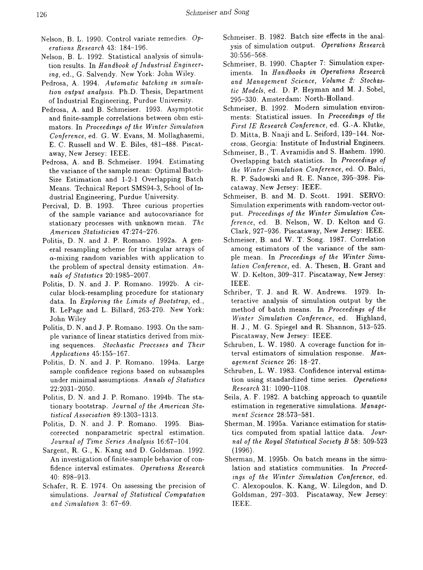- Nelson, B. L. 1990. Control variate remedies. *Operations Research* 43: 184-196.
- Nelson, B. L. 1992. Statistical analysis of simulation results. In *Handbook of Industrial Engineering,* ed., G. Salvendy. New York: John Wiley.
- Pedrosa, A. 1994. *Automatic batching in simulation output analysis.* Ph.D. Thesis, Department of Industrial Engineering, Purdue University.
- Pedrosa, A. and B. Schmeiser. 1993. Asymptotic and finite-sample correlations between obm estimators. In *Proceedings of the Winter Simulation Conference,* ed. G. W. Evans, M. Mollaghasemi, E. C. Russell and W. E. Biles, 481-488. Piscataway, New Jersey: IEEE.
- Pedrosa, A. and B. Schmeiser. 1994. Estimating the variance of the sample mean: Optimal Batch-Size Estimation and 1-2-1 Overlapping Batch Means. Technical Report SMS94-3, School of Industrial Engineering, Purdue University.
- Percival, D. B. 1993. Three curious properties of the sample variance and autocovariance for stationary processes with unknown mean. *The American Statistician* 47:274-276.
- Politis, D. N. and J. P. Romano. 1992a. A general resampling scheme for triangular arrays of  $\alpha$ -mixing random variables with application to the problem of spectral density estimation. *Annals of Statistics 20:1985-2007.*
- Politis, D. N. and J. P. Romano. 1992b. A circular block-resampling procedure for stationary data. In *Exploring the Limits of Bootstrap,* ed., R. LePage and L. Billard, 263-270. New York: John Wiley
- Politis, D. N. and J. P. Romano. 1993. On the sample variance of linear statistics derived from mixing sequences. *Stochastic Processes and Their Applications* 45: 155-167.
- Politis, D. N. and J. P. Romano. 1994a. Large sample confidence regions based on subsamples under minimal assumptions. *Annals of Statistics* 22:2031-2050.
- Politis, D. N. and J. P. Romano. 1994b. The stationary bootstrap. *Journal of the American Statistical Association* 89: 1303-1313.
- Politis, D. N. and J. P. Romano. 1995. Biascorrected nonparametric spectral estimation. *Journal of Time Series Analysis 16:67-104.*
- Sargent, R. G., K. Kang and D. Goldsman. 1992. An investigation of finite-sample behavior of confidence interval estimates. *Operations Research* 40: 898-913.
- Schafer, R. E. 1974. On assessing the precision of simulations. *Journal of Statistical Computation and Simulation* 3: 67-69.
- Schmeiser, B. 1982. Batch size effects in the analysis of simulation output. *Operations Research* 30:556-568.
- Schmeiser, B. 1990. Chapter 7: Simulation experiments. In *Handbooks in Operations Research* and *Management Science*, *Volume 2: Stochastic Models,* ed. D. P. Heyman and M. J. Sobel, 295-330. Amsterdam: North-Holland.
- Schmeiser, B. 1992. Modern simulation environments: Statistical issues. In *Proceedings of the First IE Research Conference,* ed. G.-A. Klutke, D. Mitta, B. Nnaji and L. Seiford, 139-144. Norcross, Georgia: Institute of Industrial Engineers.
- Schmeiser, B., T. Avramidis and S. Hashem. 1990. Overlapping batch statistics. In *Proceedings of the Winter Simulation Conference,* ed. o. Balci, R. P. Sadowski and R. E. Nance, 395-398. Piscataway, New Jersey: IEEE.
- Schmeiser, B. and M. D. Scott. 1991. SERVO: Simulation experiments with random-vector output. *Proceedings of the Winter Simulation Conference,* ed. B. Nelson, W. D. Kelton and G. Clark, 927-936. Piscataway, New Jersey: IEEE.
- Schmeiser, B. and W. T. Song. 1987. Correlation among estimators of the variance of the sample mean. In *Proceedings of the Winter Simulation Conference,* ed. A. Thesen, H. Grant and W. D. Kelton, 309-317. Piscataway, New Jersey: IEEE.
- Schriber, T. J. and R. W. Andrews. 1979. Interactive analysis of simulation output by the method of batch means. In *Proceedings of the Winter Simulation Conference,* ed. Highland, H. J., M. G. Spiegel and R. Shannon, 513-525. Piscataway, New Jersey: IEEE.
- Schruben, L. W. 1980. A coverage function for interval estimators of simulation response. *Management Science* 26: 18-27.
- Schruben, L. W. 1983. Confidence interval estimation using standardized time series. *Operations Research* 31: 1090-1108.
- Seila, A. F. 1982. A hatching approach to quantile estimation in regenerative simulations. *Management Science 28:573-581.*
- Sherman, M. 1995a. Variance estimation for statistics computed from spatial lattice data. *Journal of the Royal Statistical Society B* 58: 509-523 (1996).
- Sherman, M. 1995h. On batch means in the simulation and statistics communities. In *Proceedings of the Winter Simulation Conference,* ed. C. Alexopoulos, K. Kang, W. Lilegdon, and D. Goldsman, 297-303. Piscataway, New Jersey: IEEE.